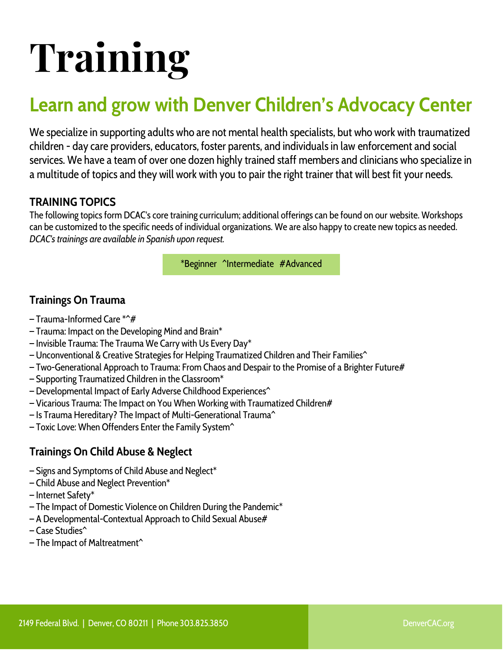# **Training**

# **Learn and grow with Denver Children's Advocacy Center**

We specialize in supporting adults who are not mental health specialists, but who work with traumatized children - day care providers, educators, foster parents, and individuals in law enforcement and social services. We have a team of over one dozen highly trained staff members and clinicians who specialize in a multitude of topics and they will work with you to pair the right trainer that will best fit your needs.

# **TRAINING TOPICS**

The following topics form DCAC's core training curriculum; additional offerings can be found on our website. Workshops can be customized to the specific needs of individual organizations. We are also happy to create new topics as needed. *DCAC's trainings are available in Spanish upon request.*

\*Beginner ^Intermediate #Advanced

# **Trainings On Trauma**

- $-$  Trauma-Informed Care  $*^{\wedge}\#$
- Trauma: Impact on the Developing Mind and Brain\*
- Invisible Trauma: The Trauma We Carry with Us Every Day\*
- Unconventional & Creative Strategies for Helping Traumatized Children and Their Families^
- Two-Generational Approach to Trauma: From Chaos and Despair to the Promise of a Brighter Future#
- Supporting Traumatized Children in the Classroom\*
- Developmental Impact of Early Adverse Childhood Experiences^
- Vicarious Trauma: The Impact on You When Working with Traumatized Children#
- Is Trauma Hereditary? The Impact of Multi-Generational Trauma^
- Toxic Love: When Offenders Enter the Family System^

# **Trainings On Child Abuse & Neglect**

- Signs and Symptoms of Child Abuse and Neglect\*
- Child Abuse and Neglect Prevention\*
- Internet Safety\*
- The Impact of Domestic Violence on Children During the Pandemic\*
- A Developmental-Contextual Approach to Child Sexual Abuse#
- Case Studies^
- The Impact of Maltreatment^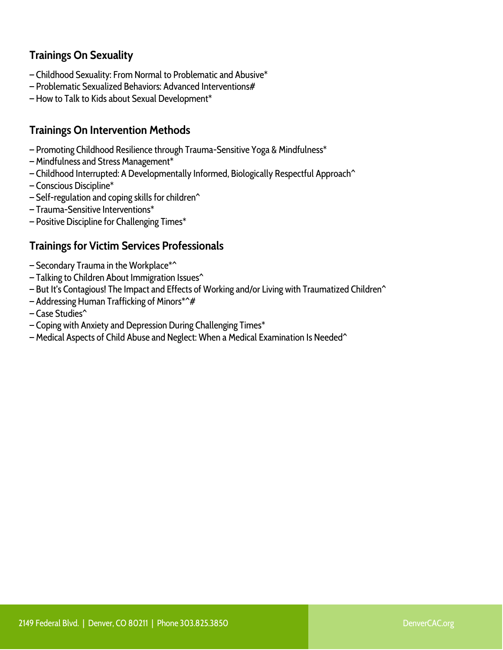# **Trainings On Sexuality**

- Childhood Sexuality: From Normal to Problematic and Abusive\*
- Problematic Sexualized Behaviors: Advanced Interventions#
- How to Talk to Kids about Sexual Development\*

# **Trainings On Intervention Methods**

- Promoting Childhood Resilience through Trauma-Sensitive Yoga & Mindfulness\*
- Mindfulness and Stress Management\*
- Childhood Interrupted: A Developmentally Informed, Biologically Respectful Approach^
- Conscious Discipline\*
- $-$  Self-regulation and coping skills for children<sup> $\hat{}$ </sup>
- Trauma-Sensitive Interventions\*
- Positive Discipline for Challenging Times\*

# **Trainings for Victim Services Professionals**

- Secondary Trauma in the Workplace\*^
- Talking to Children About Immigration Issues^
- But It's Contagious! The Impact and Effects of Working and/or Living with Traumatized Children^
- Addressing Human Trafficking of Minors\*^#
- Case Studies^
- Coping with Anxiety and Depression During Challenging Times\*
- Medical Aspects of Child Abuse and Neglect: When a Medical Examination Is Needed^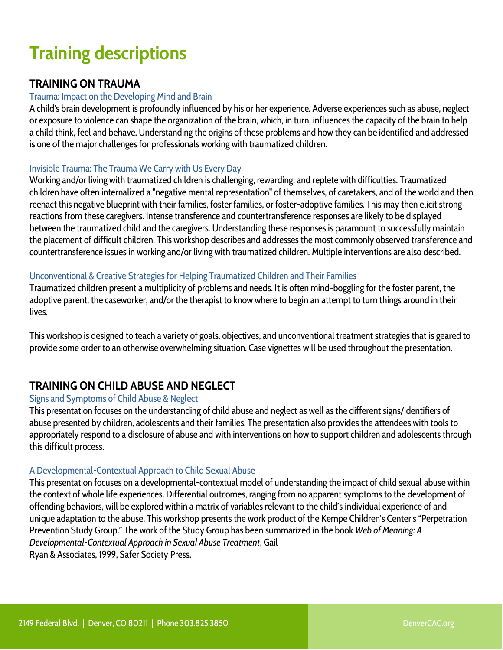# **Training descriptions**

# **TRAINING ON TRAUMA**

#### Trauma: Impact on the Developing Mind and Brain

A child's brain development is profoundly influenced by his or her experience. Adverse experiences such as abuse, neglect or exposure to violence can shape the organization of the brain, which, in turn, influences the capacity of the brain to help a child think, feel and behave. Understanding the origins of these problems and how they can be identified and addressed is one of the major challenges for professionals working with traumatized children.

# Invisible Trauma: The Trauma We Carry with Us Every Day

Working and/or living with traumatized children is challenging, rewarding, and replete with difficulties. Traumatized children have often internalized a "negative mental representation" of themselves, of caretakers, and of the world and then reenact this negative blueprint with their families, foster families, or foster-adoptive families. This may then elicit strong reactions from these caregivers. Intense transference and countertransference responses are likely to be displayed between the traumatized child and the caregivers. Understanding these responses is paramount to successfully maintain the placement of difficult children. This workshop describes and addresses the most commonly observed transference and countertransference issues in working and/or living with traumatized children. Multiple interventions are also described.

# Unconventional & Creative Strategies for Helping Traumatized Children and Their Families

Traumatized children present a multiplicity of problems and needs. It is often mind-boggling for the foster parent, the adoptive parent, the caseworker, and/or the therapist to know where to begin an attempt to turn things around in their lives.

This workshop is designed to teach a variety of goals, objectives, and unconventional treatment strategies that is geared to provide some order to an otherwise overwhelming situation. Case vignettes will be used throughout the presentation.

# **TRAINING ON CHILD ABUSE AND NEGLECT**

# Signs and Symptoms of Child Abuse & Neglect

This presentation focuses on the understanding of child abuse and neglect as well as the different signs/identifiers of abuse presented by children, adolescents and their families. The presentation also provides the attendees with tools to appropriately respond to a disclosure of abuse and with interventions on how to support children and adolescents through this difficult process.

# A Developmental-Contextual Approach to Child Sexual Abuse

This presentation focuses on a developmental-contextual model of understanding the impact of child sexual abuse within the context of whole life experiences. Differential outcomes, ranging from no apparent symptoms to the development of offending behaviors, will be explored within a matrix of variables relevant to the child's individual experience of and unique adaptation to the abuse. This workshop presents the work product of the Kempe Children's Center's "Perpetration Prevention Study Group." The work of the Study Group has been summarized in the book *Web of Meaning: A Developmental-Contextual Approach in Sexual Abuse Treatment*, Gail Ryan & Associates, 1999, Safer Society Press.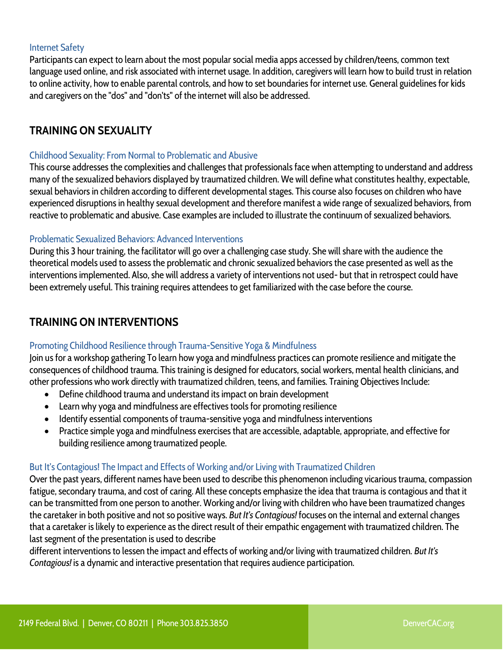#### Internet Safety

Participants can expect to learn about the most popular social media apps accessed by children/teens, common text language used online, and risk associated with internet usage. In addition, caregivers will learn how to build trust in relation to online activity, how to enable parental controls, and how to set boundaries for internet use. General guidelines for kids and caregivers on the "dos" and "don'ts" of the internet will also be addressed.

# **TRAINING ON SEXUALITY**

#### Childhood Sexuality: From Normal to Problematic and Abusive

This course addresses the complexities and challenges that professionals face when attempting to understand and address many of the sexualized behaviors displayed by traumatized children. We will define what constitutes healthy, expectable, sexual behaviors in children according to different developmental stages. This course also focuses on children who have experienced disruptions in healthy sexual development and therefore manifest a wide range of sexualized behaviors, from reactive to problematic and abusive. Case examples are included to illustrate the continuum of sexualized behaviors.

#### Problematic Sexualized Behaviors: Advanced Interventions

During this 3 hour training, the facilitator will go over a challenging case study. She will share with the audience the theoretical models used to assess the problematic and chronic sexualized behaviors the case presented as well as the interventions implemented. Also, she will address a variety of interventions not used- but that in retrospect could have been extremely useful. This training requires attendees to get familiarized with the case before the course.

# **TRAINING ON INTERVENTIONS**

# Promoting Childhood Resilience through Trauma-Sensitive Yoga & Mindfulness

Join us for a workshop gathering To learn how yoga and mindfulness practices can promote resilience and mitigate the consequences of childhood trauma. This training is designed for educators, social workers, mental health clinicians, and other professions who work directly with traumatized children, teens, and families. Training Objectives Include:

- Define childhood trauma and understand its impact on brain development
- Learn why yoga and mindfulness are effectives tools for promoting resilience
- Identify essential components of trauma-sensitive yoga and mindfulness interventions
- Practice simple yoga and mindfulness exercises that are accessible, adaptable, appropriate, and effective for building resilience among traumatized people.

# But It's Contagious! The Impact and Effects of Working and/or Living with Traumatized Children

Over the past years, different names have been used to describe this phenomenon including vicarious trauma, compassion fatigue, secondary trauma, and cost of caring. All these concepts emphasize the idea that trauma is contagious and that it can be transmitted from one person to another. Working and/or living with children who have been traumatized changes the caretaker in both positive and not so positive ways. *But It's Contagious!* focuses on the internal and external changes that a caretaker is likely to experience as the direct result of their empathic engagement with traumatized children. The last segment of the presentation is used to describe

different interventions to lessen the impact and effects of working and/or living with traumatized children. *But It's Contagious!* is a dynamic and interactive presentation that requires audience participation.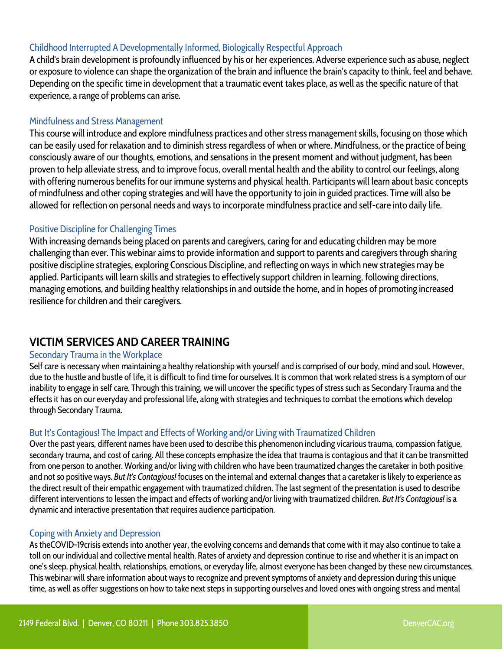# Childhood Interrupted A Developmentally Informed, Biologically Respectful Approach

A child's brain development is profoundly influenced by his or her experiences. Adverse experience such as abuse, neglect or exposure to violence can shape the organization of the brain and influence the brain's capacity to think, feel and behave. Depending on the specific time in development that a traumatic event takes place, as well as the specific nature of that experience, a range of problems can arise.

#### Mindfulness and Stress Management

This course will introduce and explore mindfulness practices and other stress management skills, focusing on those which can be easily used for relaxation and to diminish stress regardless of when or where. Mindfulness, or the practice of being consciously aware of our thoughts, emotions, and sensations in the present moment and without judgment, has been proven to help alleviate stress, and to improve focus, overall mental health and the ability to control our feelings, along with offering numerous benefits for our immune systems and physical health. Participants will learn about basic concepts of mindfulness and other coping strategies and will have the opportunity to join in guided practices. Time will also be allowed for reflection on personal needs and ways to incorporate mindfulness practice and self-care into daily life.

#### Positive Discipline for Challenging Times

With increasing demands being placed on parents and caregivers, caring for and educating children may be more challenging than ever. This webinar aims to provide information and support to parents and caregivers through sharing positive discipline strategies, exploring Conscious Discipline, and reflecting on ways in which new strategies may be applied. Participants will learn skills and strategies to effectively support children in learning, following directions, managing emotions, and building healthy relationships in and outside the home, and in hopes of promoting increased resilience for children and their caregivers.

# **VICTIM SERVICES AND CAREER TRAINING**

#### Secondary Trauma in the Workplace

Self care is necessary when maintaining a healthy relationship with yourself and is comprised of our body, mind and soul. However, due to the hustle and bustle of life, it is difficult to find time for ourselves. It is common that work related stress is a symptom of our inability to engage in self care. Through this training, we will uncover the specific types of stress such as Secondary Trauma and the effects it has on our everyday and professional life, along with strategies and techniques to combat the emotions which develop through Secondary Trauma.

#### But It's Contagious! The Impact and Effects of Working and/or Living with Traumatized Children

Over the past years, different names have been used to describe this phenomenon including vicarious trauma, compassion fatigue, secondary trauma, and cost of caring. All these concepts emphasize the idea that trauma is contagious and that it can be transmitted from one person to another. Working and/or living with children who have been traumatized changes the caretaker in both positive and not so positive ways. *But It's Contagious!* focuses on the internal and external changes that a caretaker is likely to experience as the direct result of their empathic engagement with traumatized children. The last segment of the presentation is used to describe different interventions to lessen the impact and effects of working and/or living with traumatized children. *But It's Contagious!* is a dynamic and interactive presentation that requires audience participation.

#### Coping with Anxiety and Depression

As theCOVID-19crisis extends into another year, the evolving concerns and demands that come with it may also continue to take a toll on our individual and collective mental health. Rates of anxiety and depression continue to rise and whether it is an impact on one's sleep, physical health, relationships, emotions, or everyday life, almost everyone has been changed by these new circumstances. This webinar will share information about ways to recognize and prevent symptoms of anxiety and depression during this unique time, as well as offer suggestions on how to take next steps in supporting ourselves and loved ones with ongoing stress and mental